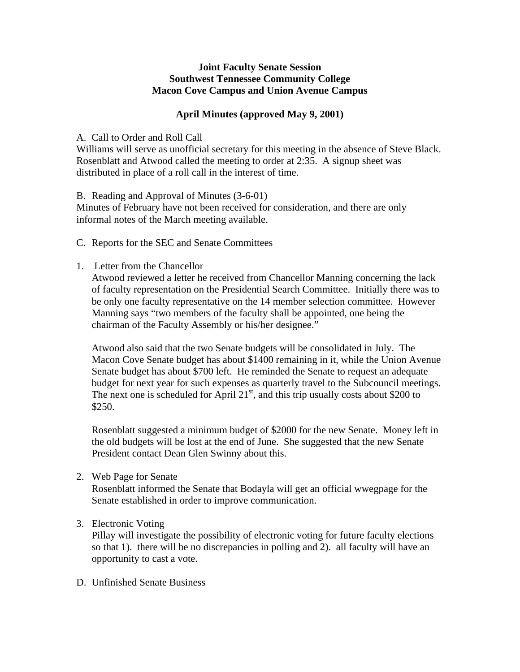# **Joint Faculty Senate Session Southwest Tennessee Community College Macon Cove Campus and Union Avenue Campus**

# **April Minutes (approved May 9, 2001)**

# A. Call to Order and Roll Call

Williams will serve as unofficial secretary for this meeting in the absence of Steve Black. Rosenblatt and Atwood called the meeting to order at 2:35. A signup sheet was distributed in place of a roll call in the interest of time.

B. Reading and Approval of Minutes (3-6-01)

Minutes of February have not been received for consideration, and there are only informal notes of the March meeting available.

- C. Reports for the SEC and Senate Committees
- 1. Letter from the Chancellor

Atwood reviewed a letter he received from Chancellor Manning concerning the lack of faculty representation on the Presidential Search Committee. Initially there was to be only one faculty representative on the 14 member selection committee. However Manning says "two members of the faculty shall be appointed, one being the chairman of the Faculty Assembly or his/her designee."

Atwood also said that the two Senate budgets will be consolidated in July. The Macon Cove Senate budget has about \$1400 remaining in it, while the Union Avenue Senate budget has about \$700 left. He reminded the Senate to request an adequate budget for next year for such expenses as quarterly travel to the Subcouncil meetings. The next one is scheduled for April  $21<sup>st</sup>$ , and this trip usually costs about \$200 to \$250.

Rosenblatt suggested a minimum budget of \$2000 for the new Senate. Money left in the old budgets will be lost at the end of June. She suggested that the new Senate President contact Dean Glen Swinny about this.

2. Web Page for Senate

Rosenblatt informed the Senate that Bodayla will get an official wwegpage for the Senate established in order to improve communication.

# 3. Electronic Voting

Pillay will investigate the possibility of electronic voting for future faculty elections so that 1). there will be no discrepancies in polling and 2). all faculty will have an opportunity to cast a vote.

D. Unfinished Senate Business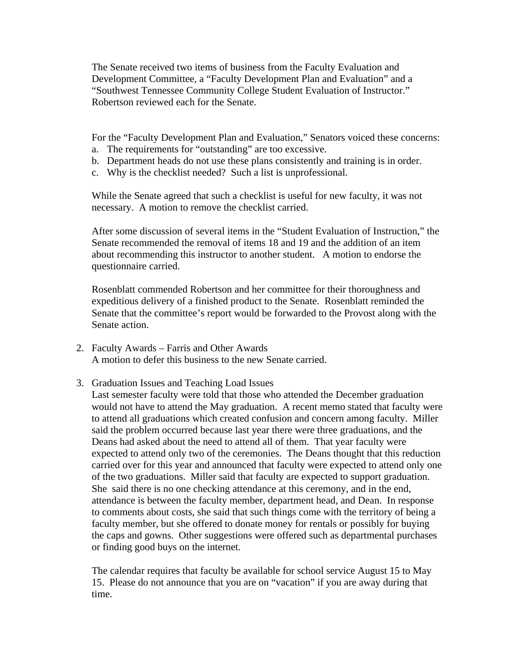The Senate received two items of business from the Faculty Evaluation and Development Committee, a "Faculty Development Plan and Evaluation" and a "Southwest Tennessee Community College Student Evaluation of Instructor." Robertson reviewed each for the Senate.

For the "Faculty Development Plan and Evaluation," Senators voiced these concerns:

- a. The requirements for "outstanding" are too excessive.
- b. Department heads do not use these plans consistently and training is in order.
- c. Why is the checklist needed? Such a list is unprofessional.

While the Senate agreed that such a checklist is useful for new faculty, it was not necessary. A motion to remove the checklist carried.

After some discussion of several items in the "Student Evaluation of Instruction," the Senate recommended the removal of items 18 and 19 and the addition of an item about recommending this instructor to another student. A motion to endorse the questionnaire carried.

Rosenblatt commended Robertson and her committee for their thoroughness and expeditious delivery of a finished product to the Senate. Rosenblatt reminded the Senate that the committee's report would be forwarded to the Provost along with the Senate action.

- 2. Faculty Awards Farris and Other Awards A motion to defer this business to the new Senate carried.
- 3. Graduation Issues and Teaching Load Issues

Last semester faculty were told that those who attended the December graduation would not have to attend the May graduation. A recent memo stated that faculty were to attend all graduations which created confusion and concern among faculty. Miller said the problem occurred because last year there were three graduations, and the Deans had asked about the need to attend all of them. That year faculty were expected to attend only two of the ceremonies. The Deans thought that this reduction carried over for this year and announced that faculty were expected to attend only one of the two graduations. Miller said that faculty are expected to support graduation. She said there is no one checking attendance at this ceremony, and in the end, attendance is between the faculty member, department head, and Dean. In response to comments about costs, she said that such things come with the territory of being a faculty member, but she offered to donate money for rentals or possibly for buying the caps and gowns. Other suggestions were offered such as departmental purchases or finding good buys on the internet.

The calendar requires that faculty be available for school service August 15 to May 15. Please do not announce that you are on "vacation" if you are away during that time.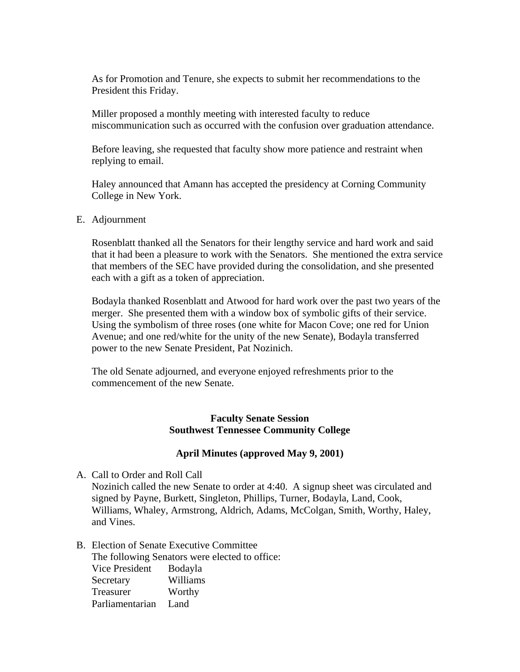As for Promotion and Tenure, she expects to submit her recommendations to the President this Friday.

Miller proposed a monthly meeting with interested faculty to reduce miscommunication such as occurred with the confusion over graduation attendance.

Before leaving, she requested that faculty show more patience and restraint when replying to email.

Haley announced that Amann has accepted the presidency at Corning Community College in New York.

E. Adjournment

Rosenblatt thanked all the Senators for their lengthy service and hard work and said that it had been a pleasure to work with the Senators. She mentioned the extra service that members of the SEC have provided during the consolidation, and she presented each with a gift as a token of appreciation.

Bodayla thanked Rosenblatt and Atwood for hard work over the past two years of the merger. She presented them with a window box of symbolic gifts of their service. Using the symbolism of three roses (one white for Macon Cove; one red for Union Avenue; and one red/white for the unity of the new Senate), Bodayla transferred power to the new Senate President, Pat Nozinich.

The old Senate adjourned, and everyone enjoyed refreshments prior to the commencement of the new Senate.

# **Faculty Senate Session Southwest Tennessee Community College**

# **April Minutes (approved May 9, 2001)**

A. Call to Order and Roll Call

Nozinich called the new Senate to order at 4:40. A signup sheet was circulated and signed by Payne, Burkett, Singleton, Phillips, Turner, Bodayla, Land, Cook, Williams, Whaley, Armstrong, Aldrich, Adams, McColgan, Smith, Worthy, Haley, and Vines.

B. Election of Senate Executive Committee

The following Senators were elected to office: Vice President Bodayla Secretary Williams Treasurer Worthy Parliamentarian Land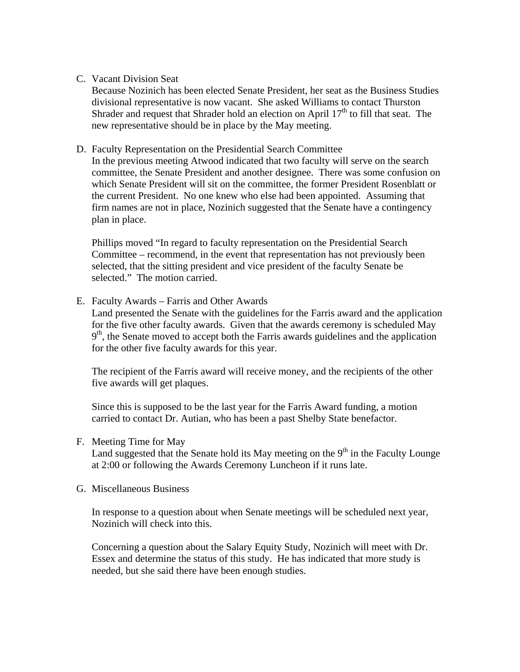# C. Vacant Division Seat

Because Nozinich has been elected Senate President, her seat as the Business Studies divisional representative is now vacant. She asked Williams to contact Thurston Shrader and request that Shrader hold an election on April  $17<sup>th</sup>$  to fill that seat. The new representative should be in place by the May meeting.

# D. Faculty Representation on the Presidential Search Committee

In the previous meeting Atwood indicated that two faculty will serve on the search committee, the Senate President and another designee. There was some confusion on which Senate President will sit on the committee, the former President Rosenblatt or the current President. No one knew who else had been appointed. Assuming that firm names are not in place, Nozinich suggested that the Senate have a contingency plan in place.

Phillips moved "In regard to faculty representation on the Presidential Search Committee – recommend, in the event that representation has not previously been selected, that the sitting president and vice president of the faculty Senate be selected." The motion carried.

E. Faculty Awards – Farris and Other Awards

Land presented the Senate with the guidelines for the Farris award and the application for the five other faculty awards. Given that the awards ceremony is scheduled May  $9<sup>th</sup>$ , the Senate moved to accept both the Farris awards guidelines and the application for the other five faculty awards for this year.

The recipient of the Farris award will receive money, and the recipients of the other five awards will get plaques.

Since this is supposed to be the last year for the Farris Award funding, a motion carried to contact Dr. Autian, who has been a past Shelby State benefactor.

# F. Meeting Time for May

Land suggested that the Senate hold its May meeting on the  $9<sup>th</sup>$  in the Faculty Lounge at 2:00 or following the Awards Ceremony Luncheon if it runs late.

# G. Miscellaneous Business

In response to a question about when Senate meetings will be scheduled next year, Nozinich will check into this.

Concerning a question about the Salary Equity Study, Nozinich will meet with Dr. Essex and determine the status of this study. He has indicated that more study is needed, but she said there have been enough studies.